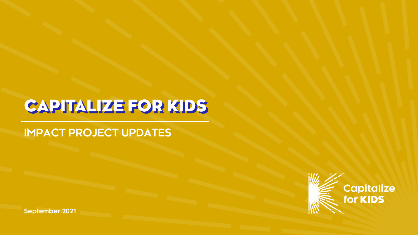# CAPITALIZE FOR KIDS

## **IMPACT PROJECT UPDATES**



**September 2021**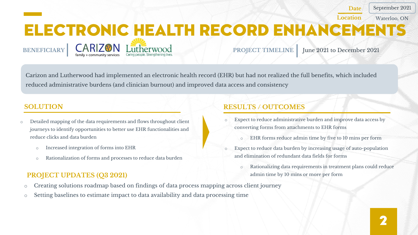**Date** September 2021

## ELECTRONIC HEALTH RECORD ENHANCEMENTS **Location** Waterloo, ON

**PROJECT TIMELINE** June 2021 to December 2021

Carizon and Lutherwood had implemented an electronic health record (EHR) but had not realized the full benefits, which included reduced administrative burdens (and clinician burnout) and improved data access and consistency

**BENEFICIARY**

o Detailed mapping of the data requirements and flows throughout client journeys to identify opportunities to better use EHR functionalities and reduce clicks and data burden

**CARIZON** Lutherwood

- o Increased integration of forms into EHR
- o Rationalization of forms and processes to reduce data burden

### **PROJECT UPDATES (Q3 2021)**

- o Expect to reduce administrative burden and improve data access by converting forms from attachments to EHR forms
	- o EHR forms reduce admin time by five to 10 mins per form
- Expect to reduce data burden by increasing usage of auto-population and elimination of redundant data fields for forms
	- Rationalizing data requirements in treatment plans could reduce admin time by 10 mins or more per form
- o Creating solutions roadmap based on findings of data process mapping across client journey
- o Setting baselines to estimate impact to data availability and data processing time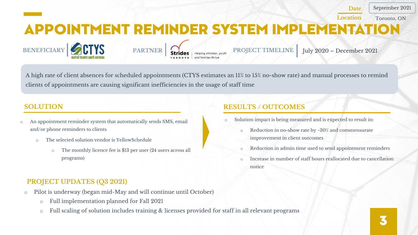September 2021

**Date**

## APPOINTMENT REMINDER SYSTEM IMPLEMENTATION **Location** Toronto, ON

A high rate of client absences for scheduled appointments (CTYS estimates an 11% to 15% no-show rate) and manual processes to remind clients of appointments are causing significant inefficiencies in the usage of staff time

**BENEFICIARY PARTNER CHARTNER CHARTNER PROJECT TIMELINE** July 2020 – December 2021

- o An appointment reminder system that automatically sends SMS, email and/or phone reminders to clients
	- o The selected solution vendor is YellowSchedule
		- o The monthly licence fee is \$13 per user (24 users across all programs)

**PARTNER**

### **SOLUTION RESULTS / OUTCOMES**

- o Solution impact is being measured and is expected to result in:
	- o Reduction in no-show rate by ~30% and commensurate improvement in client outcomes
	- o Reduction in admin time used to send appointment reminders
	- o Increase in number of staff hours reallocated due to cancellation notice

- o Pilot is underway (began mid-May and will continue until October)
	- o Full implementation planned for Fall 2021
	- o Full scaling of solution includes training & licenses provided for staff in all relevant programs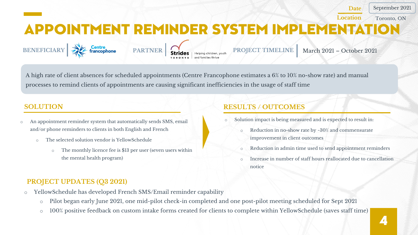APPOINTMENT REMINDER SYSTEM IMPLEMENTATION **Location** Toronto, ON

A high rate of client absences for scheduled appointments (Centre Francophone estimates a 6% to 10% no-show rate) and manual processes to remind clients of appointments are causing significant inefficiencies in the usage of staff time

**BENEFICIARY PARTNER PARTNER PROJECT TIMELINE** March 2021 – October 2021

- o An appointment reminder system that automatically sends SMS, email and/or phone reminders to clients in both English and French
	- o The selected solution vendor is YellowSchedule
		- o The monthly licence fee is \$13 per user (seven users within the mental health program)

**PARTNER**

### **SOLUTION RESULTS / OUTCOMES**

- Solution impact is being measured and is expected to result in:
	- o Reduction in no-show rate by ~30% and commensurate improvement in client outcomes
	- Reduction in admin time used to send appointment reminders

**Date**

September 2021

o Increase in number of staff hours reallocated due to cancellation notice

- o YellowSchedule has developed French SMS/Email reminder capability
	- o Pilot began early June 2021, one mid-pilot check-in completed and one post-pilot meeting scheduled for Sept 2021
	- o 100% positive feedback on custom intake forms created for clients to complete within YellowSchedule (saves staff time)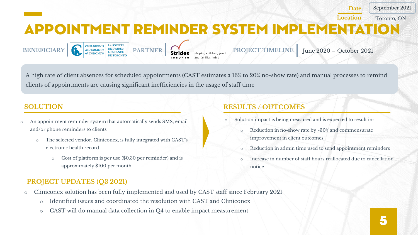APPOINTMENT REMINDER SYSTEM IMPLEMENTATION **Location** Toronto, ON

A high rate of client absences for scheduled appointments (CAST estimates a 16% to 20% no-show rate) and manual processes to remind clients of appointments are causing significant inefficiencies in the usage of staff time

**BENEFICIARY PROJECT TIMELINE** June 2020 – October 2021

- o An appointment reminder system that automatically sends SMS, email and/or phone reminders to clients
	- o The selected vendor, Cliniconex, is fully integrated with CAST's electronic health record
		- o Cost of platform is per use (\$0.30 per reminder) and is approximately \$100 per month

### **SOLUTION RESULTS / OUTCOMES**

- o Solution impact is being measured and is expected to result in:
	- o Reduction in no-show rate by ~30% and commensurate improvement in client outcomes
	- Reduction in admin time used to send appointment reminders

**Date**

September 2021

o Increase in number of staff hours reallocated due to cancellation notice

### **PROJECT UPDATES (Q3 2021)**

- o Cliniconex solution has been fully implemented and used by CAST staff since February 2021
	- o Identified issues and coordinated the resolution with CAST and Cliniconex

**PARTNER**

o CAST will do manual data collection in Q4 to enable impact measurement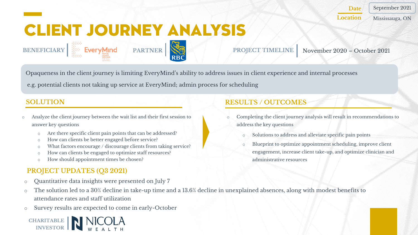September 2021

**Location** Mississauga, ON

# CLIENT JOURNEY ANALYSIS



Opaqueness in the client journey is limiting EveryMind's ability to address issues in client experience and internal processes

e.g. potential clients not taking up service at EveryMind; admin process for scheduling

- Analyze the client journey between the wait list and their first session to answer key questions
	- o Are there specific client pain points that can be addressed?
	- o How can clients be better engaged before service?
	- o What factors encourage / discourage clients from taking service?
	- o How can clients be engaged to optimize staff resources?
	- o How should appointment times be chosen?

### **PROJECT UPDATES (Q3 2021)**

o Quantitative data insights were presented on July 7

### o The solution led to a 30% decline in take-up time and a 13.6% decline in unexplained absences, along with modest benefits to attendance rates and staff utilization

o Survey results are expected to come in early-October



- o Completing the client journey analysis will result in recommendations to address the key questions
	- o Solutions to address and alleviate specific pain points
	- o Blueprint to optimize appointment scheduling, improve client engagement, increase client take-up, and optimize clinician and administrative resources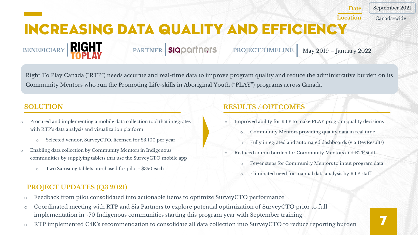September 2021

7

**Location** Canada-wide

## INCREASING DATA QUALITY AND EFFICIENCY

Right To Play Canada ("RTP") needs accurate and real-time data to improve program quality and reduce the administrative burden on its Community Mentors who run the Promoting Life-skills in Aboriginal Youth ("PLAY") programs across Canada

**BENEFICIARY | MANUSI II, RARTNER | SIQOOITNETS** PROJECT TIMELINE | May 2019 – January 2022

- o Procured and implementing a mobile data collection tool that integrates with RTP's data analysis and visualization platform
	- o Selected vendor, SurveyCTO, licensed for \$3,100 per year
- o Enabling data collection by Community Mentors in Indigenous communities by supplying tablets that use the SurveyCTO mobile app
	- o Two Samsung tablets purchased for pilot \$350 each

### **SOLUTION RESULTS / OUTCOMES**

- Improved ability for RTP to make PLAY program quality decisions
	- o Community Mentors providing quality data in real time
	- o Fully integrated and automated dashboards (via DevResults)
- o Reduced admin burden for Community Mentors and RTP staff
	- o Fewer steps for Community Mentors to input program data
	- o Eliminated need for manual data analysis by RTP staff

- o Feedback from pilot consolidated into actionable items to optimize SurveyCTO performance
- o Coordinated meeting with RTP and Sia Partners to explore potential optimization of SurveyCTO prior to full implementation in ~70 Indigenous communities starting this program year with September training
- o RTP implemented C4K's recommendation to consolidate all data collection into SurveyCTO to reduce reporting burden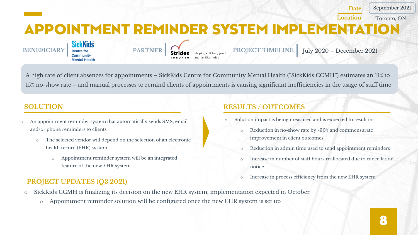APPOINTMENT REMINDER SYSTEM IMPLEMENTATION **Location** Toronto, ON

**SickKids BENEFICIARY** Centre for **PARTNER** Strides Helping children, youth **PROJECT TIMELINE** July 2020 – December 2021 **Mental Health** 

**PARTNER**

**Date**

September 2021

A high rate of client absences for appointments – SickKids Centre for Community Mental Health ("SickKids CCMH") estimates an 11% to 15% no-show rate – and manual processes to remind clients of appointments is causing significant inefficiencies in the usage of staff time

- o An appointment reminder system that automatically sends SMS, email and/or phone reminders to clients
	- o The selected vendor will depend on the selection of an electronic health record (EHR) system
		- o Appointment reminder system will be an integrated feature of the new EHR system

### **SOLUTION RESULTS / OUTCOMES**

- Solution impact is being measured and is expected to result in:
	- o Reduction in no-show rate by ~30% and commensurate improvement in client outcomes
	- Reduction in admin time used to send appointment reminders
	- o Increase in number of staff hours reallocated due to cancellation notice
	- o Increase in process efficiency from the new EHR system

- o SickKids CCMH is finalizing its decision on the new EHR system, implementation expected in October
	- o Appointment reminder solution will be configured once the new EHR system is set up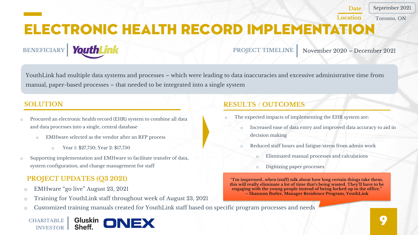September 2021

**Location** Toronto, ON

## ELECTRONIC HEALTH RECORD IMPLEMENTATION

**BENEFICIARY PROJECT TIMELINE** November 2020 – December 2021

YouthLink had multiple data systems and processes – which were leading to data inaccuracies and excessive administrative time from manual, paper-based processes – that needed to be integrated into a single system

- o Procured an electronic health record (EHR) system to combine all data and data processes into a single, central database
	- o EMHware selected as the vendor after an RFP process
		- o Year 1: \$27,750; Year 2: \$17,750
- o Supporting implementation and EMHware to facilitate transfer of data, system configuration, and change management for staff

### **PROJECT UPDATES (Q3 2021)**

- o EMHware "go live" August 23, 2021
- o Training for YouthLink staff throughout week of August 23, 2021
- o Customized training manuals created for YouthLink staff based on specific program processes and needs



### **SOLUTION RESULTS / OUTCOMES**

- The expected impacts of implementing the EHR system are:
	- Increased ease of data entry and improved data accuracy to aid in decision making
	- Reduced staff hours and fatigue/stress from admin work
		- Eliminated manual processes and calculations
		- o Digitizing paper processes

**"I'm impressed…when (staff) talk about how long certain things take them, this will really eliminate a lot of time that's being wasted. They'll have to be engaging with the young people instead of being locked up in the office." – Shannon Butler, Manager Residence Program, YouthLink**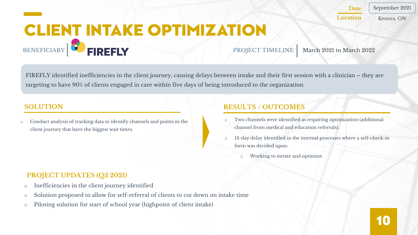September 2021

Location Kenora, ON

**Date**

March 2021 to March 2022

### CLIENT INTAKE OPTIMIZATION **EIREFLY BENEFICIARY PROJECT TIMELINE**

FIREFLY identified inefficiencies in the client journey, causing delays between intake and their first session with a clinician – they are targeting to have 90% of clients engaged in care within five days of being introduced to the organization

o Conduct analysis of tracking data to identify channels and points in the client journey that have the biggest wait times.

### **PROJECT UPDATES (Q3 2021)**

- o Inefficiencies in the client journey identified
- o Solution proposed to allow for self-referral of clients to cut down on intake time
- o Piloting solution for start of school year (highpoint of client intake)

- Two channels were identified as requiring optimization (additional channel from medical and education referrals).
- o 13-day delay identified in the internal processes where a self-check-in form was decided upon.
	- Working to iterate and optimize.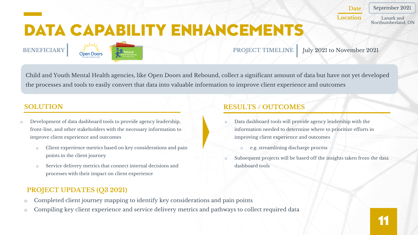September 2021

**Location** Lanark and

Northumberland, ON

# DATA CAPABILITY ENHANCEMENTS

**PROJECT TIMELINE** July 2021 to November 2021

Child and Youth Mental Health agencies, like Open Doors and Rebound, collect a significant amount of data but have not yet developed the processes and tools to easily convert that data into valuable information to improve client experience and outcomes

**BENEFICIARY**

- o Development of data dashboard tools to provide agency leadership, front-line, and other stakeholders with the necessary information to improve client experience and outcomes
	- o Client experience metrics based on key considerations and pain points in the client journey
	- o Service delivery metrics that connect internal decisions and processes with their impact on client experience

### **PROJECT UPDATES (Q3 2021)**

- o Completed client journey mapping to identify key considerations and pain points
- o Compiling key client experience and service delivery metrics and pathways to collect required data

- o Data dashboard tools will provide agency leadership with the information needed to determine where to prioritize efforts in improving client experience and outcomes
	- e.g. streamlining discharge process
- Subsequent projects will be based off the insights taken from the data dashboard tools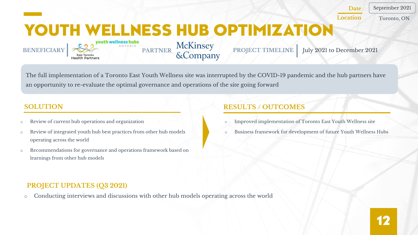September 2021

July 2021 to December 2021

**Location** Toronto, ON

## YOUTH WELLNESS HUB OPTIMIZATION

The full implementation of a Toronto East Youth Wellness site was interrupted by the COVID-19 pandemic and the hub partners have an opportunity to re-evaluate the optimal governance and operations of the site going forward

McKinsey

&Company

- o Review of current hub operations and organization
- o Review of integrated youth hub best practices from other hub models operating across the world

**BENEFICIARY PARTNER** 

Health Partners

youth wellness hubs

o Recommendations for governance and operations framework based on learnings from other hub models

### **SOLUTION RESULTS / OUTCOMES**

**PROJECT TIMELINE**

- o Improved implementation of Toronto East Youth Wellness site
- o Business framework for development of future Youth Wellness Hubs

### **PROJECT UPDATES (Q3 2021)**

o Conducting interviews and discussions with other hub models operating across the world